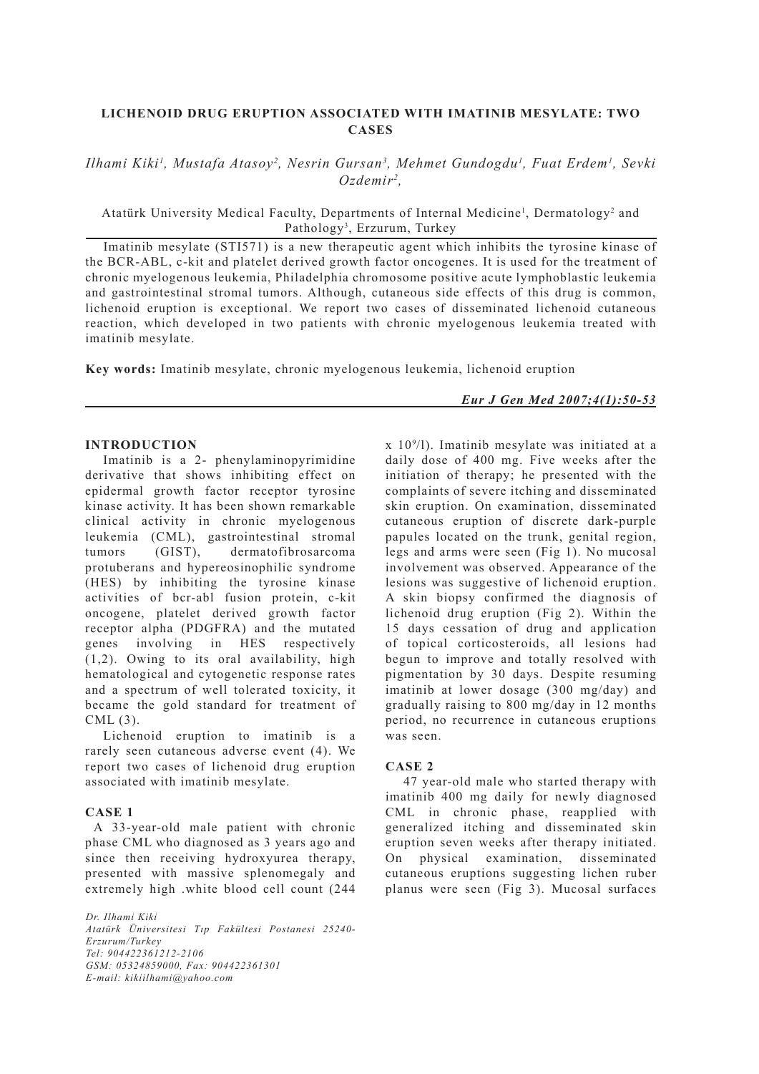# **LICHENOID DRUG ERUPTION ASSOCIATED WITH IMATINIB MESYLATE: TWO CASES**

*Ilhami Kiki<sup>1</sup>, Mustafa Atasoy<sup>2</sup>, Nesrin Gursan<sup>3</sup>, Mehmet Gundogdu<sup>1</sup>, Fuat Erdem<sup>1</sup>, Sevki Ozdemir2 ,*

Atatürk University Medical Faculty, Departments of Internal Medicine<sup>1</sup>, Dermatology<sup>2</sup> and Pathology<sup>3</sup>, Erzurum, Turkey

Imatinib mesylate (STI571) is a new therapeutic agent which inhibits the tyrosine kinase of the BCR-ABL, c-kit and platelet derived growth factor oncogenes. It is used for the treatment of chronic myelogenous leukemia, Philadelphia chromosome positive acute lymphoblastic leukemia and gastrointestinal stromal tumors. Although, cutaneous side effects of this drug is common, lichenoid eruption is exceptional. We report two cases of disseminated lichenoid cutaneous reaction, which developed in two patients with chronic myelogenous leukemia treated with imatinib mesylate.

**Key words:** Imatinib mesylate, chronic myelogenous leukemia, lichenoid eruption

*Eur J Gen Med 2007;4(1):50-53*

## **INTRODUCTION**

Imatinib is a 2- phenylaminopyrimidine derivative that shows inhibiting effect on epidermal growth factor receptor tyrosine kinase activity. It has been shown remarkable clinical activity in chronic myelogenous leukemia (CML), gastrointestinal stromal<br>tumors (GIST), dermatofibrosarcoma tumors (GIST), dermatofibrosarcoma protuberans and hypereosinophilic syndrome (HES) by inhibiting the tyrosine kinase activities of bcr-abl fusion protein, c-kit oncogene, platelet derived growth factor receptor alpha (PDGFRA) and the mutated genes involving in HES respectively (1,2). Owing to its oral availability, high hematological and cytogenetic response rates and a spectrum of well tolerated toxicity, it became the gold standard for treatment of CML (3).

Lichenoid eruption to imatinib is a rarely seen cutaneous adverse event (4). We report two cases of lichenoid drug eruption associated with imatinib mesylate.

### **CASE 1**

 A 33-year-old male patient with chronic phase CML who diagnosed as 3 years ago and since then receiving hydroxyurea therapy, presented with massive splenomegaly and extremely high .white blood cell count (244

*Dr. Ilhami Kiki Atatürk Üniversitesi Tıp Fakültesi Postanesi 25240- Erzurum/Turkey Tel: 904422361212-2106 GSM: 05324859000, Fax: 904422361301 E-mail: kikiilhami@yahoo.com*

x 109 /l). Imatinib mesylate was initiated at a daily dose of 400 mg. Five weeks after the initiation of therapy; he presented with the complaints of severe itching and disseminated skin eruption. On examination, disseminated cutaneous eruption of discrete dark-purple papules located on the trunk, genital region, legs and arms were seen (Fig 1). No mucosal involvement was observed. Appearance of the lesions was suggestive of lichenoid eruption. A skin biopsy confirmed the diagnosis of lichenoid drug eruption (Fig 2). Within the 15 days cessation of drug and application of topical corticosteroids, all lesions had begun to improve and totally resolved with pigmentation by 30 days. Despite resuming imatinib at lower dosage (300 mg/day) and gradually raising to 800 mg/day in 12 months period, no recurrence in cutaneous eruptions was seen.

### **CASE 2**

47 year-old male who started therapy with imatinib 400 mg daily for newly diagnosed CML in chronic phase, reapplied with generalized itching and disseminated skin eruption seven weeks after therapy initiated. On physical examination, disseminated cutaneous eruptions suggesting lichen ruber planus were seen (Fig 3). Mucosal surfaces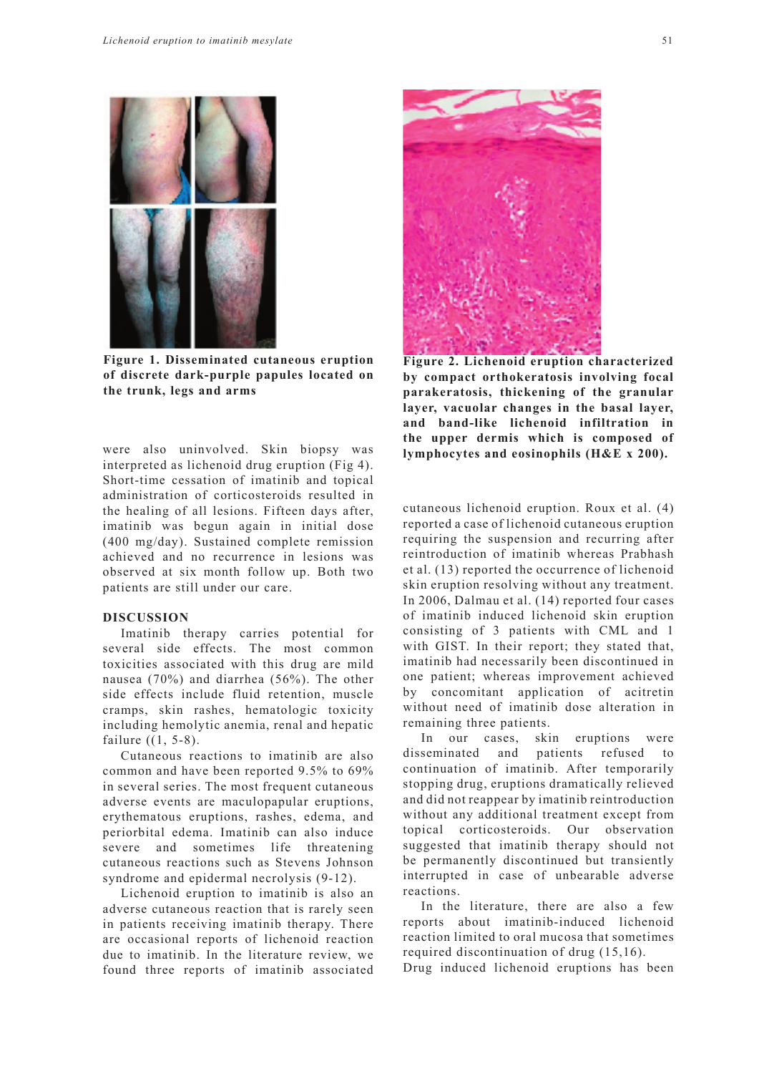

**Figure 1. Disseminated cutaneous eruption of discrete dark-purple papules located on the trunk, legs and arms**

were also uninvolved. Skin biopsy was interpreted as lichenoid drug eruption (Fig 4). Short-time cessation of imatinib and topical administration of corticosteroids resulted in the healing of all lesions. Fifteen days after, imatinib was begun again in initial dose (400 mg/day). Sustained complete remission achieved and no recurrence in lesions was observed at six month follow up. Both two patients are still under our care.

#### **DISCUSSION**

Imatinib therapy carries potential for several side effects. The most common toxicities associated with this drug are mild nausea (70%) and diarrhea (56%). The other side effects include fluid retention, muscle cramps, skin rashes, hematologic toxicity including hemolytic anemia, renal and hepatic failure ((1, 5-8).

Cutaneous reactions to imatinib are also common and have been reported 9.5% to 69% in several series. The most frequent cutaneous adverse events are maculopapular eruptions, erythematous eruptions, rashes, edema, and periorbital edema. Imatinib can also induce severe and sometimes life threatening cutaneous reactions such as Stevens Johnson syndrome and epidermal necrolysis (9-12).

Lichenoid eruption to imatinib is also an adverse cutaneous reaction that is rarely seen in patients receiving imatinib therapy. There are occasional reports of lichenoid reaction due to imatinib. In the literature review, we found three reports of imatinib associated



**Figure 2. Lichenoid eruption characterized by compact orthokeratosis involving focal parakeratosis, thickening of the granular layer, vacuolar changes in the basal layer, and band-like lichenoid infiltration in the upper dermis which is composed of lymphocytes and eosinophils (H&E x 200).** 

cutaneous lichenoid eruption. Roux et al. (4) reported a case of lichenoid cutaneous eruption requiring the suspension and recurring after reintroduction of imatinib whereas Prabhash et al. (13) reported the occurrence of lichenoid skin eruption resolving without any treatment. In 2006, Dalmau et al. (14) reported four cases of imatinib induced lichenoid skin eruption consisting of 3 patients with CML and 1 with GIST. In their report; they stated that, imatinib had necessarily been discontinued in one patient; whereas improvement achieved by concomitant application of acitretin without need of imatinib dose alteration in remaining three patients.

In our cases, skin eruptions were disseminated and patients refused to continuation of imatinib. After temporarily stopping drug, eruptions dramatically relieved and did not reappear by imatinib reintroduction without any additional treatment except from topical corticosteroids. Our observation suggested that imatinib therapy should not be permanently discontinued but transiently interrupted in case of unbearable adverse reactions.

In the literature, there are also a few reports about imatinib-induced lichenoid reaction limited to oral mucosa that sometimes required discontinuation of drug (15,16).

Drug induced lichenoid eruptions has been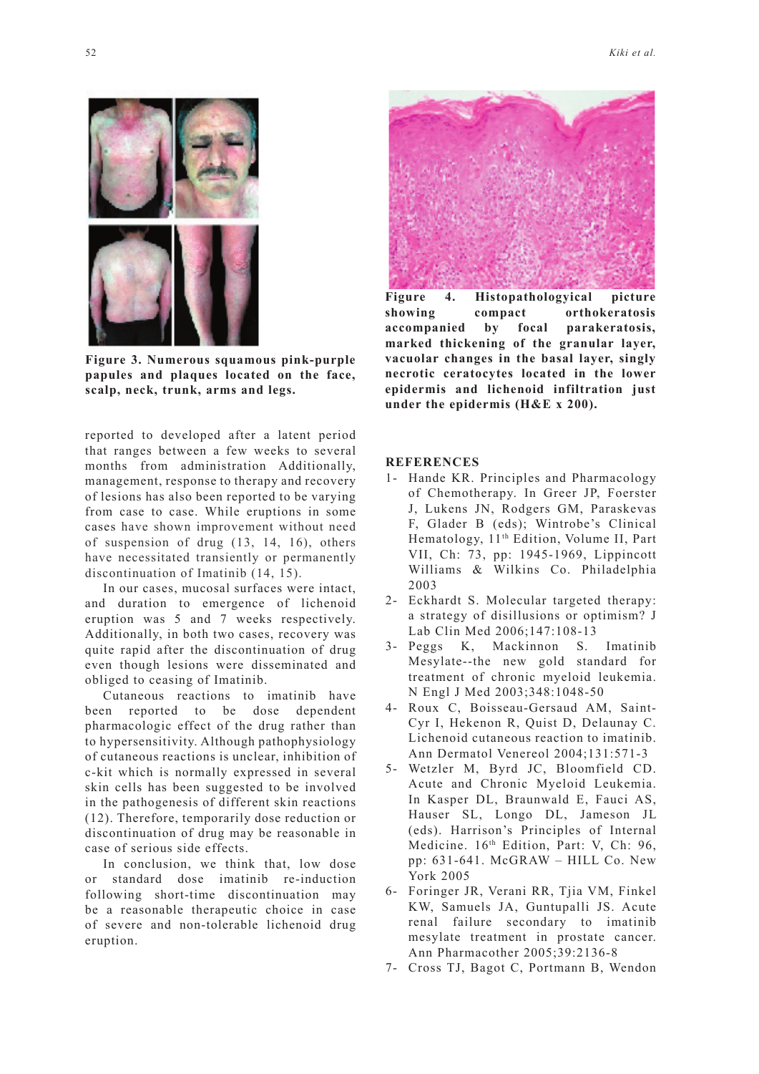

**Figure 3. Numerous squamous pink-purple papules and plaques located on the face, scalp, neck, trunk, arms and legs.**

reported to developed after a latent period that ranges between a few weeks to several months from administration Additionally, management, response to therapy and recovery of lesions has also been reported to be varying from case to case. While eruptions in some cases have shown improvement without need of suspension of drug (13, 14, 16), others have necessitated transiently or permanently discontinuation of Imatinib (14, 15).

In our cases, mucosal surfaces were intact, and duration to emergence of lichenoid eruption was 5 and 7 weeks respectively. Additionally, in both two cases, recovery was quite rapid after the discontinuation of drug even though lesions were disseminated and obliged to ceasing of Imatinib.

Cutaneous reactions to imatinib have been reported to be dose dependent pharmacologic effect of the drug rather than to hypersensitivity. Although pathophysiology of cutaneous reactions is unclear, inhibition of c-kit which is normally expressed in several skin cells has been suggested to be involved in the pathogenesis of different skin reactions (12). Therefore, temporarily dose reduction or discontinuation of drug may be reasonable in case of serious side effects.

In conclusion, we think that, low dose or standard dose imatinib re-induction following short-time discontinuation may be a reasonable therapeutic choice in case of severe and non-tolerable lichenoid drug eruption.



**Figure 4. Histopathologyical picture showing compact orthokeratosis accompanied by focal parakeratosis, marked thickening of the granular layer, vacuolar changes in the basal layer, singly necrotic ceratocytes located in the lower epidermis and lichenoid infiltration just under the epidermis (H&E x 200).**

#### **REFERENCES**

- 1- Hande KR. Principles and Pharmacology of Chemotherapy. In Greer JP, Foerster J, Lukens JN, Rodgers GM, Paraskevas F, Glader B (eds); Wintrobe's Clinical Hematology, 11th Edition, Volume II, Part VII, Ch: 73, pp: 1945-1969, Lippincott Williams & Wilkins Co. Philadelphia 2003
- 2- Eckhardt S. Molecular targeted therapy: a strategy of disillusions or optimism? J Lab Clin Med 2006;147:108-13
- 3- Peggs K, Mackinnon S. Imatinib Mesylate--the new gold standard for treatment of chronic myeloid leukemia. N Engl J Med 2003;348:1048-50
- 4- Roux C, Boisseau-Gersaud AM, Saint-Cyr I, Hekenon R, Quist D, Delaunay C. Lichenoid cutaneous reaction to imatinib. Ann Dermatol Venereol 2004;131:571-3
- 5- Wetzler M, Byrd JC, Bloomfield CD. Acute and Chronic Myeloid Leukemia. In Kasper DL, Braunwald E, Fauci AS, Hauser SL, Longo DL, Jameson JL (eds). Harrison's Principles of Internal Medicine. 16<sup>th</sup> Edition, Part: V, Ch: 96, pp: 631-641. McGRAW – HILL Co. New York 2005
- 6- Foringer JR, Verani RR, Tjia VM, Finkel KW, Samuels JA, Guntupalli JS. Acute renal failure secondary to imatinib mesylate treatment in prostate cancer. Ann Pharmacother 2005;39:2136-8
- 7- Cross TJ, Bagot C, Portmann B, Wendon